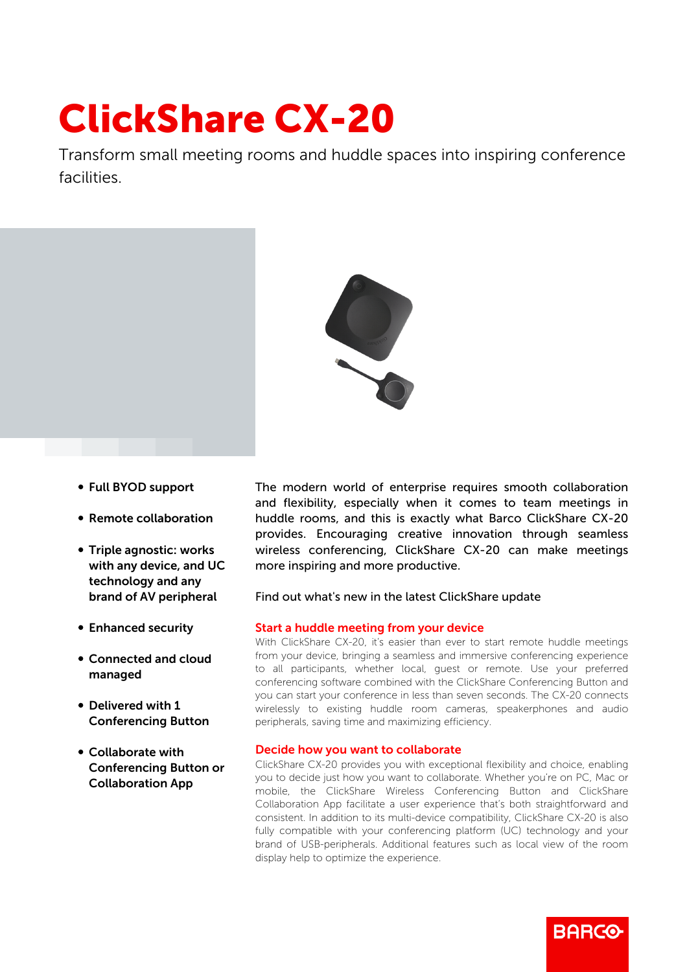# ClickShare CX-20

Transform small meeting rooms and huddle spaces into inspiring conference facilities.



- b Full BYOD support
- Remote collaboration
- Triple agnostic: works with any device, and UC technology and any brand of AV peripheral
- Enhanced security
- b Connected and cloud managed
- Delivered with 1 Conferencing Button
- Collaborate with Conferencing Button or Collaboration App

The modern world of enterprise requires smooth collaboration and flexibility, especially when it comes to team meetings in huddle rooms, and this is exactly what Barco ClickShare CX-20 provides. Encouraging creative innovation through seamless wireless conferencing, ClickShare CX-20 can make meetings more inspiring and more productive.

# Find out what's new in the latest ClickShare update

# Start a huddle meeting from your device

With ClickShare CX-20, it's easier than ever to start remote huddle meetings from your device, bringing a seamless and immersive conferencing experience to all participants, whether local, guest or remote. Use your preferred conferencing software combined with the ClickShare Conferencing Button and you can start your conference in less than seven seconds. The CX-20 connects wirelessly to existing huddle room cameras, speakerphones and audio peripherals, saving time and maximizing efficiency.

## Decide how you want to collaborate

ClickShare CX-20 provides you with exceptional flexibility and choice, enabling you to decide just how you want to collaborate. Whether you're on PC, Mac or mobile, the ClickShare Wireless Conferencing Button and ClickShare Collaboration App facilitate a user experience that's both straightforward and consistent. In addition to its multi-device compatibility, ClickShare CX-20 is also fully compatible with your conferencing platform (UC) technology and your brand of USB-peripherals. Additional features such as local view of the room display help to optimize the experience.

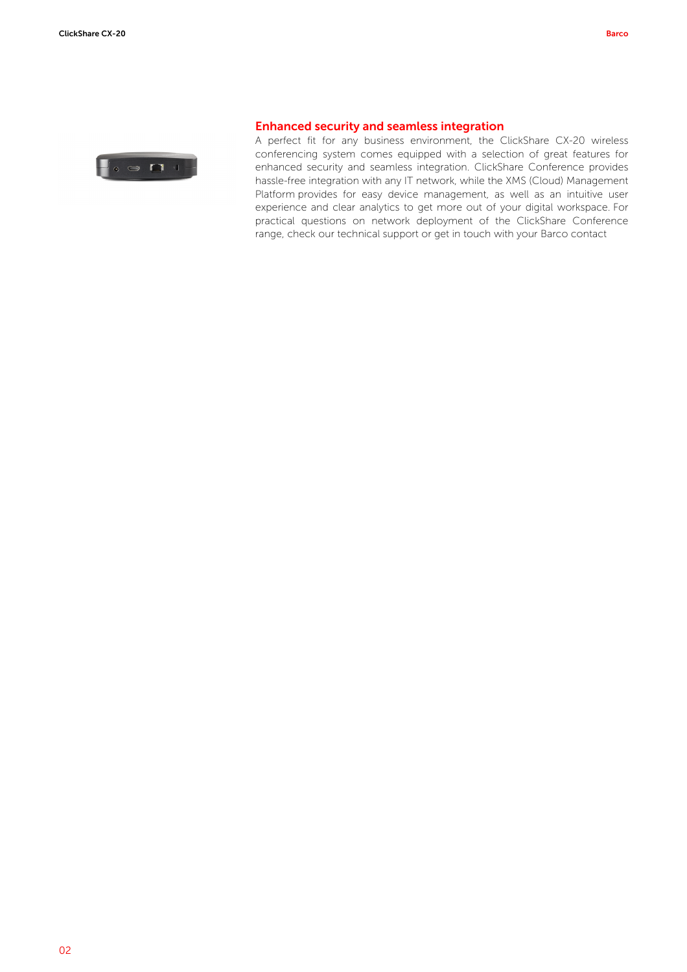

### Enhanced security and seamless integration

A perfect fit for any business environment, the ClickShare CX-20 wireless conferencing system comes equipped with a selection of great features for enhanced security and seamless integration. ClickShare Conference provides hassle-free integration with any IT network, while the XMS (Cloud) Management Platform provides for easy device management, as well as an intuitive user experience and clear analytics to get more out of your digital workspace. For practical questions on network deployment of the ClickShare Conference range, check our technical support or get in touch with your Barco contact